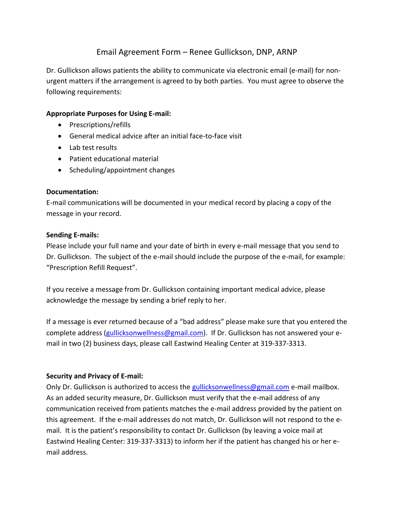# Email Agreement Form – Renee Gullickson, DNP, ARNP

Dr. Gullickson allows patients the ability to communicate via electronic email (e-mail) for nonurgent matters if the arrangement is agreed to by both parties. You must agree to observe the following requirements:

## **Appropriate Purposes for Using E-mail:**

- Prescriptions/refills
- General medical advice after an initial face-to-face visit
- Lab test results
- Patient educational material
- Scheduling/appointment changes

#### **Documentation:**

E-mail communications will be documented in your medical record by placing a copy of the message in your record.

### **Sending E-mails:**

Please include your full name and your date of birth in every e-mail message that you send to Dr. Gullickson. The subject of the e-mail should include the purpose of the e-mail, for example: "Prescription Refill Request".

If you receive a message from Dr. Gullickson containing important medical advice, please acknowledge the message by sending a brief reply to her.

If a message is ever returned because of a "bad address" please make sure that you entered the complete address [\(gullicksonwellness@gmail.com\)](mailto:gullicksonwellness@gmail.com). If Dr. Gullickson has not answered your email in two (2) business days, please call Eastwind Healing Center at 319-337-3313.

# **Security and Privacy of E-mail:**

Only Dr. Gullickson is authorized to access the [gullicksonwellness@gmail.com](mailto:gullicksonwellness@gmail.com) e-mail mailbox. As an added security measure, Dr. Gullickson must verify that the e-mail address of any communication received from patients matches the e-mail address provided by the patient on this agreement. If the e-mail addresses do not match, Dr. Gullickson will not respond to the email. It is the patient's responsibility to contact Dr. Gullickson (by leaving a voice mail at Eastwind Healing Center: 319-337-3313) to inform her if the patient has changed his or her email address.